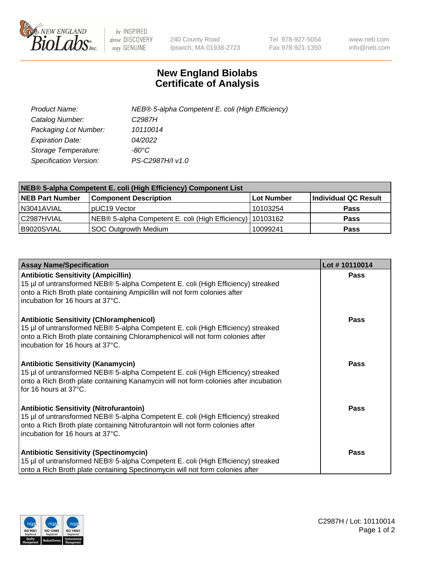

 $be$  INSPIRED drive DISCOVERY stay GENUINE

240 County Road Ipswich, MA 01938-2723 Tel 978-927-5054 Fax 978-921-1350 www.neb.com info@neb.com

## **New England Biolabs Certificate of Analysis**

| Product Name:           | NEB® 5-alpha Competent E. coli (High Efficiency) |
|-------------------------|--------------------------------------------------|
| Catalog Number:         | C <sub>2987</sub> H                              |
| Packaging Lot Number:   | 10110014                                         |
| <b>Expiration Date:</b> | 04/2022                                          |
| Storage Temperature:    | -80°C.                                           |
| Specification Version:  | PS-C2987H/I v1.0                                 |

| NEB® 5-alpha Competent E. coli (High Efficiency) Component List |                                                             |            |                      |  |
|-----------------------------------------------------------------|-------------------------------------------------------------|------------|----------------------|--|
| <b>NEB Part Number</b>                                          | <b>Component Description</b>                                | Lot Number | Individual QC Result |  |
| N3041AVIAL                                                      | pUC19 Vector                                                | 10103254   | <b>Pass</b>          |  |
| C2987HVIAL                                                      | NEB® 5-alpha Competent E. coli (High Efficiency)   10103162 |            | <b>Pass</b>          |  |
| B9020SVIAL                                                      | SOC Outgrowth Medium                                        | 10099241   | <b>Pass</b>          |  |

| <b>Assay Name/Specification</b>                                                                                                                                                                                                                            | Lot #10110014 |
|------------------------------------------------------------------------------------------------------------------------------------------------------------------------------------------------------------------------------------------------------------|---------------|
| <b>Antibiotic Sensitivity (Ampicillin)</b><br>15 µl of untransformed NEB® 5-alpha Competent E. coli (High Efficiency) streaked<br>onto a Rich Broth plate containing Ampicillin will not form colonies after<br>incubation for 16 hours at 37°C.           | Pass          |
| <b>Antibiotic Sensitivity (Chloramphenicol)</b><br>15 µl of untransformed NEB® 5-alpha Competent E. coli (High Efficiency) streaked<br>onto a Rich Broth plate containing Chloramphenicol will not form colonies after<br>incubation for 16 hours at 37°C. | Pass          |
| <b>Antibiotic Sensitivity (Kanamycin)</b><br>15 µl of untransformed NEB® 5-alpha Competent E. coli (High Efficiency) streaked<br>onto a Rich Broth plate containing Kanamycin will not form colonies after incubation<br>for 16 hours at 37°C.             | Pass          |
| <b>Antibiotic Sensitivity (Nitrofurantoin)</b><br>15 µl of untransformed NEB® 5-alpha Competent E. coli (High Efficiency) streaked<br>onto a Rich Broth plate containing Nitrofurantoin will not form colonies after<br>incubation for 16 hours at 37°C.   | <b>Pass</b>   |
| <b>Antibiotic Sensitivity (Spectinomycin)</b><br>15 µl of untransformed NEB® 5-alpha Competent E. coli (High Efficiency) streaked<br>onto a Rich Broth plate containing Spectinomycin will not form colonies after                                         | Pass          |